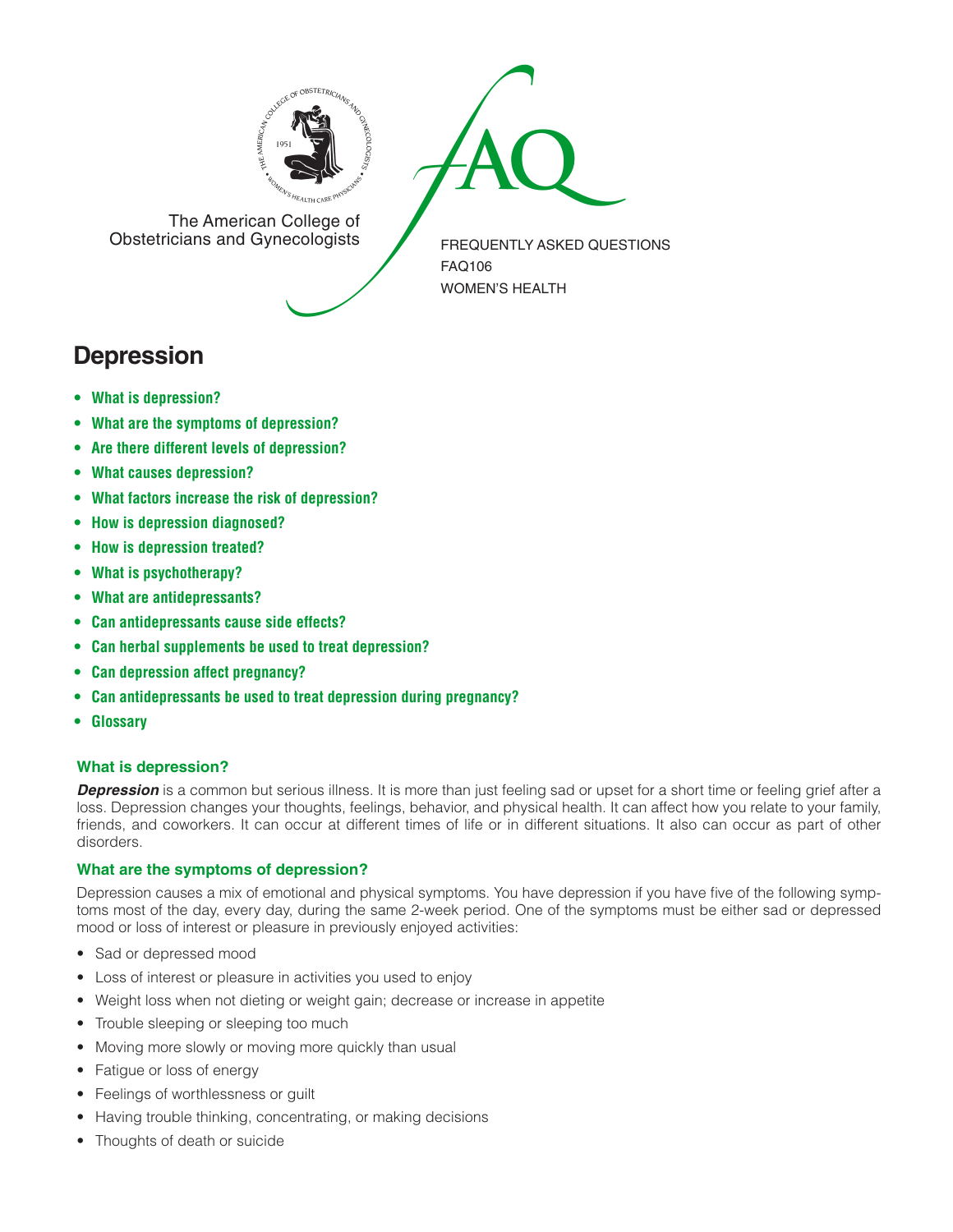



The American College of<br>Obstetricians and Gynecologists

FREQUENTLY ASKED QUESTIONS FAQ106 WOMEN'S HEALTH

# **Depression**

- **• What is [depression?](#page-0-0)**
- **• What are the symptoms of [depression?](#page-0-1)**
- **• Are there different levels of [depression?](#page-1-0)**
- **• What causes [depression?](#page-1-1)**
- **• What factors increase the risk of [depression?](#page-1-2)**
- **• How is depression [diagnosed?](#page-1-3)**
- **• How is [depression](#page-1-4) treated?**
- **• What is [psychotherapy?](#page-1-5)**
- **• What are [antidepressants?](#page-1-6)**
- **• Can [antidepressants](#page-1-7) cause side effects?**
- **• Can herbal [supplements](#page-1-8) be used to treat depression?**
- **• Can depression affect [pregnancy?](#page-2-0)**
- **• Can [antidepressants](#page-2-1) be used to treat depression during pregnancy?**
- **[• Glossary](#page-2-2)**

## <span id="page-0-0"></span>**What is depression?**

**Depression** is a common but serious illness. It is more than just feeling sad or upset for a short time or feeling grief after a loss. Depression changes your thoughts, feelings, behavior, and physical health. It can affect how you relate to your family, friends, and coworkers. It can occur at different times of life or in different situations. It also can occur as part of other disorders.

## <span id="page-0-1"></span>**What are the symptoms of depression?**

Depression causes a mix of emotional and physical symptoms. You have depression if you have five of the following symptoms most of the day, every day, during the same 2-week period. One of the symptoms must be either sad or depressed mood or loss of interest or pleasure in previously enjoyed activities:

- Sad or depressed mood
- Loss of interest or pleasure in activities you used to enjoy
- Weight loss when not dieting or weight gain; decrease or increase in appetite
- Trouble sleeping or sleeping too much
- Moving more slowly or moving more quickly than usual
- Fatigue or loss of energy
- • Feelings of worthlessness or guilt
- Having trouble thinking, concentrating, or making decisions
- Thoughts of death or suicide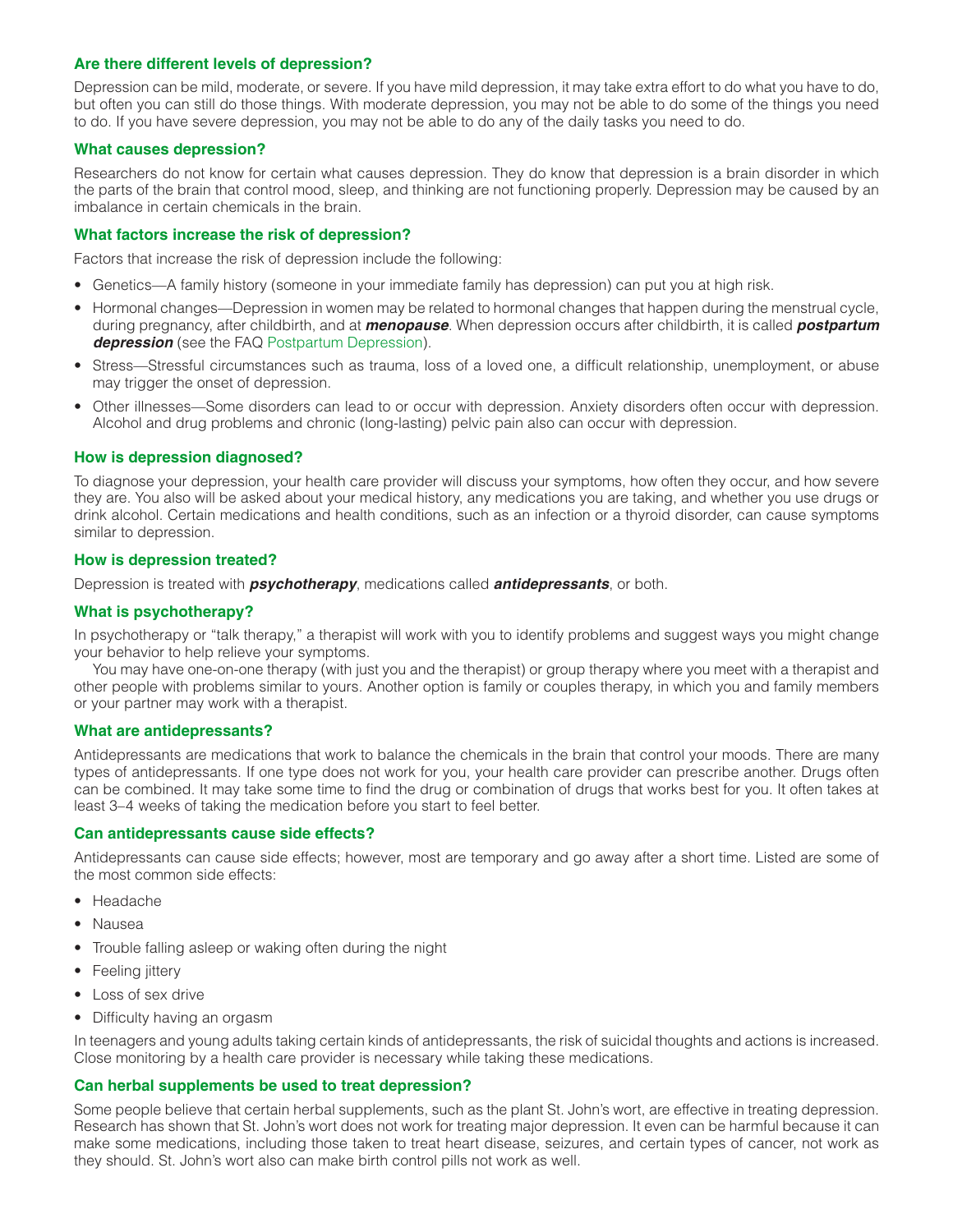## <span id="page-1-0"></span>**Are there different levels of depression?**

Depression can be mild, moderate, or severe. If you have mild depression, it may take extra effort to do what you have to do, but often you can still do those things. With moderate depression, you may not be able to do some of the things you need to do. If you have severe depression, you may not be able to do any of the daily tasks you need to do.

#### <span id="page-1-1"></span>**What causes depression?**

Researchers do not know for certain what causes depression. They do know that depression is a brain disorder in which the parts of the brain that control mood, sleep, and thinking are not functioning properly. Depression may be caused by an imbalance in certain chemicals in the brain.

## <span id="page-1-2"></span>**What factors increase the risk of depression?**

Factors that increase the risk of depression include the following:

- Genetics—A family history (someone in your immediate family has depression) can put you at high risk.
- Hormonal changes—Depression in women may be related to hormonal changes that happen during the menstrual cycle, during pregnancy, after childbirth, and at *menopause*. When depression occurs after childbirth, it is called *postpartum depression* (see the FAQ [Postpartum Depression](http://www.acog.org/~/media/For%20Patients/faq091.ashx)).
- Stress—Stressful circumstances such as trauma, loss of a loved one, a difficult relationship, unemployment, or abuse may trigger the onset of depression.
- Other illnesses—Some disorders can lead to or occur with depression. Anxiety disorders often occur with depression. Alcohol and drug problems and chronic (long-lasting) pelvic pain also can occur with depression.

#### <span id="page-1-3"></span>**How is depression diagnosed?**

To diagnose your depression, your health care provider will discuss your symptoms, how often they occur, and how severe they are. You also will be asked about your medical history, any medications you are taking, and whether you use drugs or drink alcohol. Certain medications and health conditions, such as an infection or a thyroid disorder, can cause symptoms similar to depression.

#### <span id="page-1-4"></span>**How is depression treated?**

Depression is treated with *psychotherapy*, medications called *antidepressants*, or both.

#### <span id="page-1-5"></span>**What is psychotherapy?**

In psychotherapy or "talk therapy," a therapist will work with you to identify problems and suggest ways you might change your behavior to help relieve your symptoms.

You may have one-on-one therapy (with just you and the therapist) or group therapy where you meet with a therapist and other people with problems similar to yours. Another option is family or couples therapy, in which you and family members or your partner may work with a therapist.

#### <span id="page-1-6"></span>**What are antidepressants?**

Antidepressants are medications that work to balance the chemicals in the brain that control your moods. There are many types of antidepressants. If one type does not work for you, your health care provider can prescribe another. Drugs often can be combined. It may take some time to find the drug or combination of drugs that works best for you. It often takes at least 3–4 weeks of taking the medication before you start to feel better.

#### <span id="page-1-7"></span>**Can antidepressants cause side effects?**

Antidepressants can cause side effects; however, most are temporary and go away after a short time. Listed are some of the most common side effects:

- • Headache
- Nausea
- Trouble falling asleep or waking often during the night
- Feeling jittery
- • Loss of sex drive
- Difficulty having an orgasm

In teenagers and young adults taking certain kinds of antidepressants, the risk of suicidal thoughts and actions is increased. Close monitoring by a health care provider is necessary while taking these medications.

## <span id="page-1-8"></span>**Can herbal supplements be used to treat depression?**

Some people believe that certain herbal supplements, such as the plant St. John's wort, are effective in treating depression. Research has shown that St. John's wort does not work for treating major depression. It even can be harmful because it can make some medications, including those taken to treat heart disease, seizures, and certain types of cancer, not work as they should. St. John's wort also can make birth control pills not work as well.